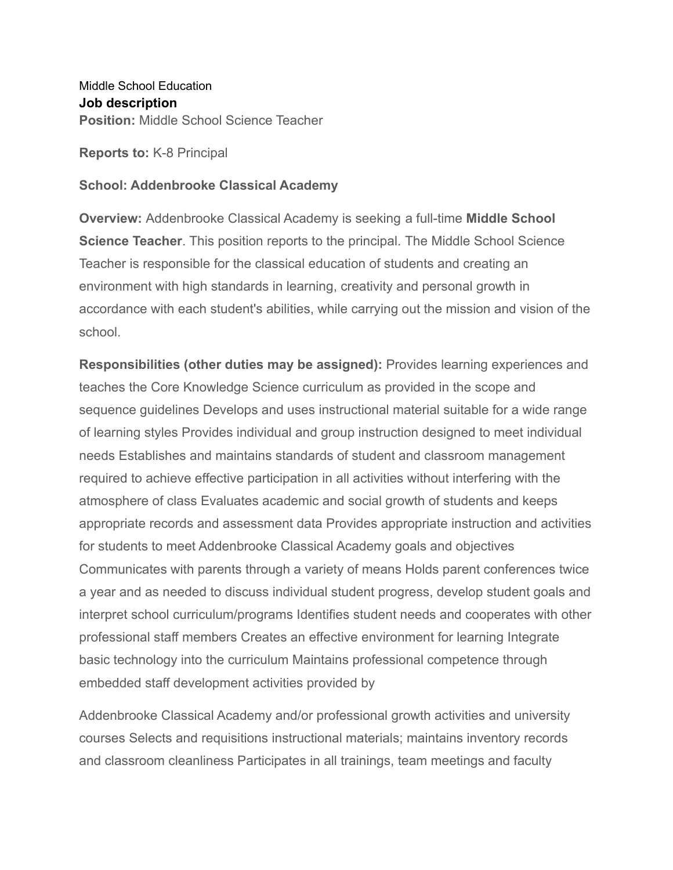Middle School Education **Job description Position:** Middle School Science Teacher

**Reports to:** K-8 Principal

## **School: Addenbrooke Classical Academy**

**Overview:** Addenbrooke Classical Academy is seeking a full-time **Middle School Science Teacher**. This position reports to the principal. The Middle School Science Teacher is responsible for the classical education of students and creating an environment with high standards in learning, creativity and personal growth in accordance with each student's abilities, while carrying out the mission and vision of the school.

**Responsibilities (other duties may be assigned):** Provides learning experiences and teaches the Core Knowledge Science curriculum as provided in the scope and sequence guidelines Develops and uses instructional material suitable for a wide range of learning styles Provides individual and group instruction designed to meet individual needs Establishes and maintains standards of student and classroom management required to achieve effective participation in all activities without interfering with the atmosphere of class Evaluates academic and social growth of students and keeps appropriate records and assessment data Provides appropriate instruction and activities for students to meet Addenbrooke Classical Academy goals and objectives Communicates with parents through a variety of means Holds parent conferences twice a year and as needed to discuss individual student progress, develop student goals and interpret school curriculum/programs Identifies student needs and cooperates with other professional staff members Creates an effective environment for learning Integrate basic technology into the curriculum Maintains professional competence through embedded staff development activities provided by

Addenbrooke Classical Academy and/or professional growth activities and university courses Selects and requisitions instructional materials; maintains inventory records and classroom cleanliness Participates in all trainings, team meetings and faculty